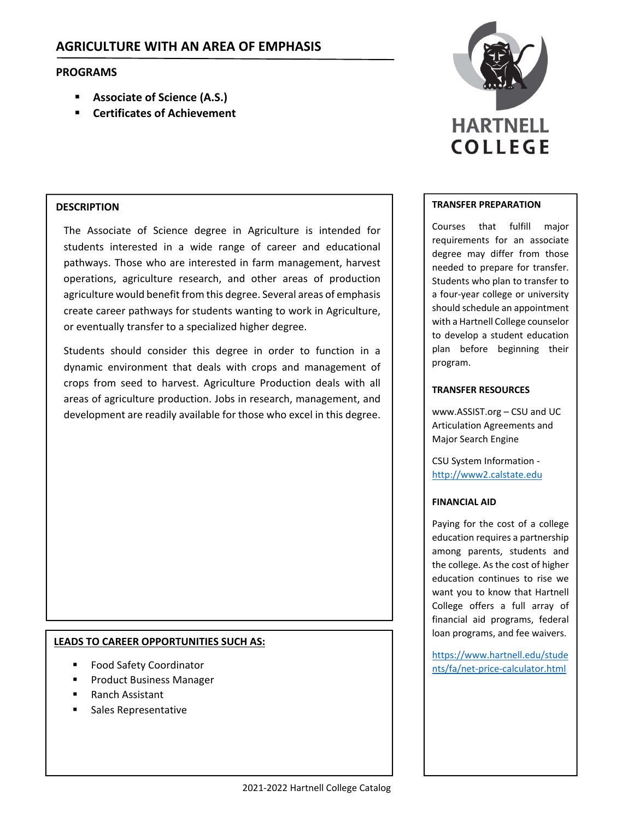# **PROGRAMS**

- **Associate of Science (A.S.)**
- **Certificates of Achievement**



# **DESCRIPTION**

The Associate of Science degree in Agriculture is intended for students interested in a wide range of career and educational pathways. Those who are interested in farm management, harvest operations, agriculture research, and other areas of production agriculture would benefit from this degree. Several areas of emphasis create career pathways for students wanting to work in Agriculture, or eventually transfer to a specialized higher degree.

Students should consider this degree in order to function in a dynamic environment that deals with crops and management of crops from seed to harvest. Agriculture Production deals with all areas of agriculture production. Jobs in research, management, and development are readily available for those who excel in this degree.

# **LEADS TO CAREER OPPORTUNITIES SUCH AS:**

- Food Safety Coordinator
- Product Business Manager
- Ranch Assistant
- Sales Representative

### **TRANSFER PREPARATION**

Courses that fulfill major requirements for an associate degree may differ from those needed to prepare for transfer. Students who plan to transfer to a four‐year college or university should schedule an appointment with a Hartnell College counselor to develop a student education plan before beginning their program.

### **TRANSFER RESOURCES**

www.ASSIST.org – CSU and UC Articulation Agreements and Major Search Engine

CSU System Information ‐ http://www2.calstate.edu

### **FINANCIAL AID**

Paying for the cost of a college education requires a partnership among parents, students and the college. As the cost of higher education continues to rise we want you to know that Hartnell College offers a full array of financial aid programs, federal loan programs, and fee waivers.

https://www.hartnell.edu/stude nts/fa/net‐price‐calculator.html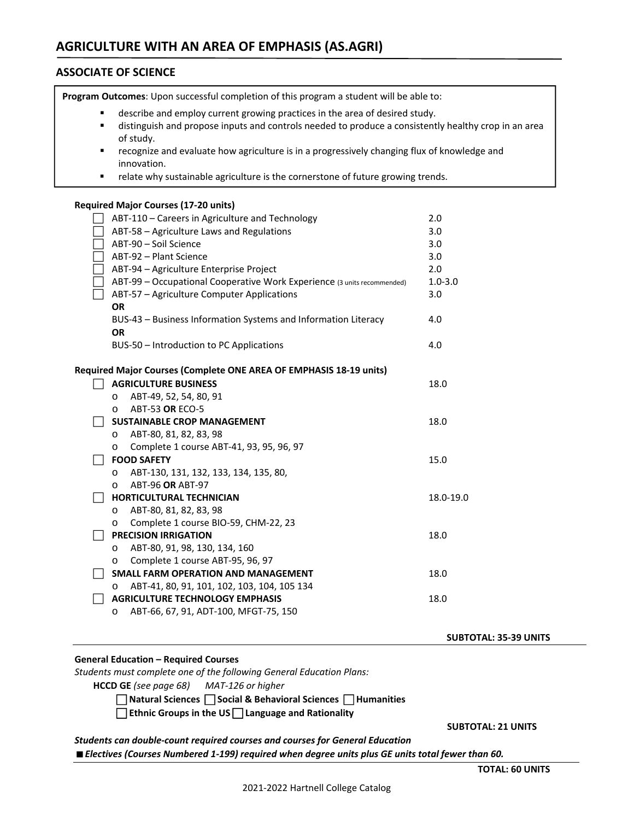# **AGRICULTURE WITH AN AREA OF EMPHASIS (AS.AGRI)**

### **ASSOCIATE OF SCIENCE**

**Program Outcomes**: Upon successful completion of this program a student will be able to:

- describe and employ current growing practices in the area of desired study.
- distinguish and propose inputs and controls needed to produce a consistently healthy crop in an area of study.
- recognize and evaluate how agriculture is in a progressively changing flux of knowledge and innovation.
- **•** relate why sustainable agriculture is the cornerstone of future growing trends.

#### **Required Major Courses (17‐20 units)**

| ABT-110 - Careers in Agriculture and Technology                         | 2.0         |
|-------------------------------------------------------------------------|-------------|
| ABT-58 - Agriculture Laws and Regulations                               | 3.0         |
| ABT-90 - Soil Science                                                   | 3.0         |
| ABT-92 - Plant Science                                                  | 3.0         |
| ABT-94 - Agriculture Enterprise Project                                 | 2.0         |
| ABT-99 - Occupational Cooperative Work Experience (3 units recommended) | $1.0 - 3.0$ |
| ABT-57 - Agriculture Computer Applications                              | 3.0         |
| <b>OR</b>                                                               |             |
| BUS-43 - Business Information Systems and Information Literacy          | 4.0         |
| <b>OR</b>                                                               |             |
| BUS-50 – Introduction to PC Applications                                | 4.0         |
|                                                                         |             |
| Required Major Courses (Complete ONE AREA OF EMPHASIS 18-19 units)      |             |
| <b>AGRICULTURE BUSINESS</b>                                             | 18.0        |
| ABT-49, 52, 54, 80, 91<br>$\circ$                                       |             |
| ABT-53 OR ECO-5<br>$\circ$                                              |             |
| <b>SUSTAINABLE CROP MANAGEMENT</b>                                      | 18.0        |
| ABT-80, 81, 82, 83, 98<br>$\circ$                                       |             |
| Complete 1 course ABT-41, 93, 95, 96, 97<br>$\circ$                     |             |
| <b>FOOD SAFETY</b>                                                      | 15.0        |
| ABT-130, 131, 132, 133, 134, 135, 80,<br>$\circ$                        |             |
| ABT-96 OR ABT-97<br>$\circ$                                             |             |
| <b>HORTICULTURAL TECHNICIAN</b>                                         | 18.0-19.0   |
| ABT-80, 81, 82, 83, 98<br>$\circ$                                       |             |
| Complete 1 course BIO-59, CHM-22, 23<br>$\circ$                         |             |
| <b>PRECISION IRRIGATION</b>                                             | 18.0        |
| ABT-80, 91, 98, 130, 134, 160<br>$\circ$                                |             |
| Complete 1 course ABT-95, 96, 97<br>$\circ$                             |             |
| SMALL FARM OPERATION AND MANAGEMENT                                     | 18.0        |
| ABT-41, 80, 91, 101, 102, 103, 104, 105 134<br>$\circ$                  |             |
| <b>AGRICULTURE TECHNOLOGY EMPHASIS</b>                                  | 18.0        |
| ABT-66, 67, 91, ADT-100, MFGT-75, 150<br>$\circ$                        |             |
|                                                                         |             |

 **SUBTOTAL: 35‐39 UNITS**

#### **General Education – Required Courses**

*Students must complete one of the following General Education Plans:*

**HCCD GE** *(see page 68) MAT‐126 or higher* 

 **Natural Sciences Social & Behavioral Sciences Humanities** 

**Ethnic Groups in the US Language and Rationality** 

 **SUBTOTAL: 21 UNITS** 

*Students can double‐count required courses and courses for General Education Electives (Courses Numbered 1‐199) required when degree units plus GE units total fewer than 60.*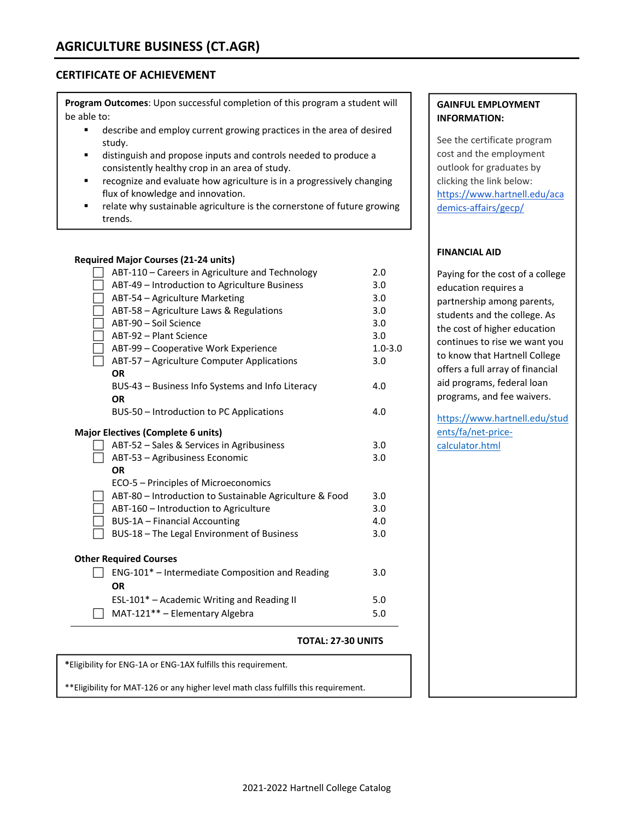### **CERTIFICATE OF ACHIEVEMENT**

**Program Outcomes**: Upon successful completion of this program a student will be able to:

- **EXEDED 4** describe and employ current growing practices in the area of desired study.
- distinguish and propose inputs and controls needed to produce a consistently healthy crop in an area of study.
- **F** recognize and evaluate how agriculture is in a progressively changing flux of knowledge and innovation.
- **•** relate why sustainable agriculture is the cornerstone of future growing trends.

# **Required Major Courses (21‐24 units)**

|                                           |  | ABT-110 – Careers in Agriculture and Technology         | 2.0         |  |  |
|-------------------------------------------|--|---------------------------------------------------------|-------------|--|--|
|                                           |  | ABT-49 - Introduction to Agriculture Business           | 3.0         |  |  |
|                                           |  | ABT-54 - Agriculture Marketing                          | 3.0         |  |  |
|                                           |  | ABT-58 - Agriculture Laws & Regulations                 | 3.0         |  |  |
|                                           |  | ABT-90 - Soil Science                                   | 3.0         |  |  |
|                                           |  | ABT-92 - Plant Science                                  | 3.0         |  |  |
|                                           |  | ABT-99 - Cooperative Work Experience                    | $1.0 - 3.0$ |  |  |
|                                           |  | ABT-57 - Agriculture Computer Applications              | 3.0         |  |  |
|                                           |  | <b>OR</b>                                               |             |  |  |
|                                           |  | BUS-43 - Business Info Systems and Info Literacy        | 4.0         |  |  |
|                                           |  | <b>OR</b>                                               |             |  |  |
|                                           |  | BUS-50 - Introduction to PC Applications                | 4.0         |  |  |
| <b>Major Electives (Complete 6 units)</b> |  |                                                         |             |  |  |
|                                           |  | ABT-52 - Sales & Services in Agribusiness               | 3.0         |  |  |
|                                           |  | ABT-53 - Agribusiness Economic                          | 3.0         |  |  |
|                                           |  | <b>OR</b>                                               |             |  |  |
|                                           |  | ECO-5 – Principles of Microeconomics                    |             |  |  |
|                                           |  | ABT-80 - Introduction to Sustainable Agriculture & Food | 3.0         |  |  |
|                                           |  | ABT-160 - Introduction to Agriculture                   | 3.0         |  |  |
|                                           |  | <b>BUS-1A - Financial Accounting</b>                    | 4.0         |  |  |
|                                           |  | BUS-18 - The Legal Environment of Business              | 3.0         |  |  |
|                                           |  | <b>Other Required Courses</b>                           |             |  |  |
|                                           |  | ENG-101* - Intermediate Composition and Reading         | 3.0         |  |  |
|                                           |  | <b>OR</b>                                               |             |  |  |
|                                           |  | ESL-101* - Academic Writing and Reading II              | 5.0         |  |  |
|                                           |  | MAT-121** - Elementary Algebra                          | 5.0         |  |  |
|                                           |  |                                                         |             |  |  |

#### **TOTAL: 27‐30 UNITS**

**\***Eligibility for ENG‐1A or ENG‐1AX fulfills this requirement.

\*\*Eligibility for MAT‐126 or any higher level math class fulfills this requirement.

### **GAINFUL EMPLOYMENT INFORMATION:**

See the certificate program cost and the employment outlook for graduates by clicking the link below: https://www.hartnell.edu/aca demics‐affairs/gecp/

#### **FINANCIAL AID**

Paying for the cost of a college education requires a partnership among parents, students and the college. As the cost of higher education continues to rise we want you to know that Hartnell College offers a full array of financial aid programs, federal loan programs, and fee waivers.

https://www.hartnell.edu/stud ents/fa/net-pricecalculator.html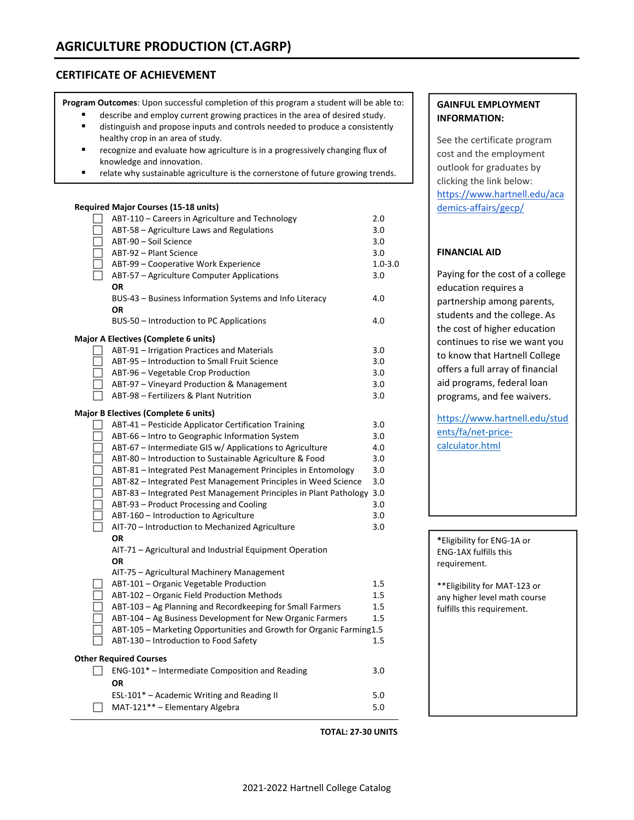# **CERTIFICATE OF ACHIEVEMENT**

| Program Outcomes: Upon successful completion of this program a student will be able to: |                                                                                 |             |  |  |  |
|-----------------------------------------------------------------------------------------|---------------------------------------------------------------------------------|-------------|--|--|--|
|                                                                                         | describe and employ current growing practices in the area of desired study.     |             |  |  |  |
| ٠                                                                                       | distinguish and propose inputs and controls needed to produce a consistently    |             |  |  |  |
|                                                                                         | healthy crop in an area of study.                                               |             |  |  |  |
| п                                                                                       | recognize and evaluate how agriculture is in a progressively changing flux of   |             |  |  |  |
|                                                                                         | knowledge and innovation.                                                       |             |  |  |  |
| ٠                                                                                       | relate why sustainable agriculture is the cornerstone of future growing trends. |             |  |  |  |
|                                                                                         |                                                                                 |             |  |  |  |
|                                                                                         | <b>Required Major Courses (15-18 units)</b>                                     |             |  |  |  |
|                                                                                         | ABT-110 - Careers in Agriculture and Technology                                 | 2.0         |  |  |  |
|                                                                                         | ABT-58 - Agriculture Laws and Regulations                                       | 3.0         |  |  |  |
|                                                                                         | ABT-90 - Soil Science                                                           | 3.0         |  |  |  |
|                                                                                         | ABT-92 - Plant Science                                                          | 3.0         |  |  |  |
|                                                                                         | ABT-99 - Cooperative Work Experience                                            | $1.0 - 3.0$ |  |  |  |
|                                                                                         | ABT-57 - Agriculture Computer Applications                                      | 3.0         |  |  |  |
|                                                                                         | <b>OR</b>                                                                       |             |  |  |  |
|                                                                                         | BUS-43 - Business Information Systems and Info Literacy                         | 4.0         |  |  |  |
|                                                                                         | <b>OR</b>                                                                       |             |  |  |  |
|                                                                                         | BUS-50 - Introduction to PC Applications                                        | 4.0         |  |  |  |
|                                                                                         | <b>Major A Electives (Complete 6 units)</b>                                     |             |  |  |  |
|                                                                                         | ABT-91 - Irrigation Practices and Materials                                     | 3.0         |  |  |  |
|                                                                                         | ABT-95 - Introduction to Small Fruit Science                                    | 3.0         |  |  |  |
|                                                                                         | ABT-96 - Vegetable Crop Production                                              | 3.0         |  |  |  |
|                                                                                         | ABT-97 - Vineyard Production & Management                                       | 3.0         |  |  |  |
|                                                                                         | ABT-98 - Fertilizers & Plant Nutrition                                          | 3.0         |  |  |  |
|                                                                                         | <b>Major B Electives (Complete 6 units)</b>                                     |             |  |  |  |
|                                                                                         | ABT-41 - Pesticide Applicator Certification Training                            | 3.0         |  |  |  |
|                                                                                         | ABT-66 - Intro to Geographic Information System                                 | 3.0         |  |  |  |
|                                                                                         | ABT-67 - Intermediate GIS w/ Applications to Agriculture                        | 4.0         |  |  |  |
|                                                                                         | ABT-80 - Introduction to Sustainable Agriculture & Food                         | 3.0         |  |  |  |
|                                                                                         | ABT-81 - Integrated Pest Management Principles in Entomology                    | 3.0         |  |  |  |
|                                                                                         | ABT-82 - Integrated Pest Management Principles in Weed Science                  | 3.0         |  |  |  |
|                                                                                         | ABT-83 - Integrated Pest Management Principles in Plant Pathology 3.0           |             |  |  |  |
|                                                                                         | ABT-93 - Product Processing and Cooling                                         | 3.0         |  |  |  |
|                                                                                         | ABT-160 - Introduction to Agriculture                                           | 3.0         |  |  |  |
|                                                                                         | AIT-70 - Introduction to Mechanized Agriculture                                 | 3.0         |  |  |  |
|                                                                                         | <b>OR</b>                                                                       |             |  |  |  |
|                                                                                         | AIT-71 - Agricultural and Industrial Equipment Operation<br>OR                  |             |  |  |  |
|                                                                                         | AIT-75 - Agricultural Machinery Management                                      |             |  |  |  |
|                                                                                         | ABT-101 - Organic Vegetable Production                                          | 1.5         |  |  |  |
|                                                                                         | ABT-102 - Organic Field Production Methods                                      | 1.5         |  |  |  |
|                                                                                         | ABT-103 - Ag Planning and Recordkeeping for Small Farmers                       | 1.5         |  |  |  |
|                                                                                         | ABT-104 - Ag Business Development for New Organic Farmers                       | 1.5         |  |  |  |
|                                                                                         | ABT-105 - Marketing Opportunities and Growth for Organic Farming1.5             |             |  |  |  |
|                                                                                         | ABT-130 - Introduction to Food Safety                                           | 1.5         |  |  |  |
|                                                                                         | <b>Other Required Courses</b>                                                   |             |  |  |  |
|                                                                                         | ENG-101* - Intermediate Composition and Reading                                 | 3.0         |  |  |  |
|                                                                                         | 0R                                                                              |             |  |  |  |
|                                                                                         | ESL-101* - Academic Writing and Reading II                                      | 5.0         |  |  |  |
|                                                                                         | MAT-121** - Elementary Algebra                                                  | 5.0         |  |  |  |
|                                                                                         |                                                                                 |             |  |  |  |

 **TOTAL: 27‐30 UNITS**

### **GAINFUL EMPLOYMENT INFORMATION:**

See the certificate program cost and the employment outlook for graduates by clicking the link below: https://www.hartnell.edu/aca demics‐affairs/gecp/

### **FINANCIAL AID**

Paying for the cost of a college education requires a partnership among parents, students and the college. As the cost of higher education continues to rise we want you to know that Hartnell College offers a full array of financial aid programs, federal loan programs, and fee waivers.

https://www.hartnell.edu/stud ents/fa/net-pricecalculator.html

**\***Eligibility for ENG‐1A or ENG‐1AX fulfills this requirement.

\*\*Eligibility for MAT‐123 or any higher level math course fulfills this requirement.